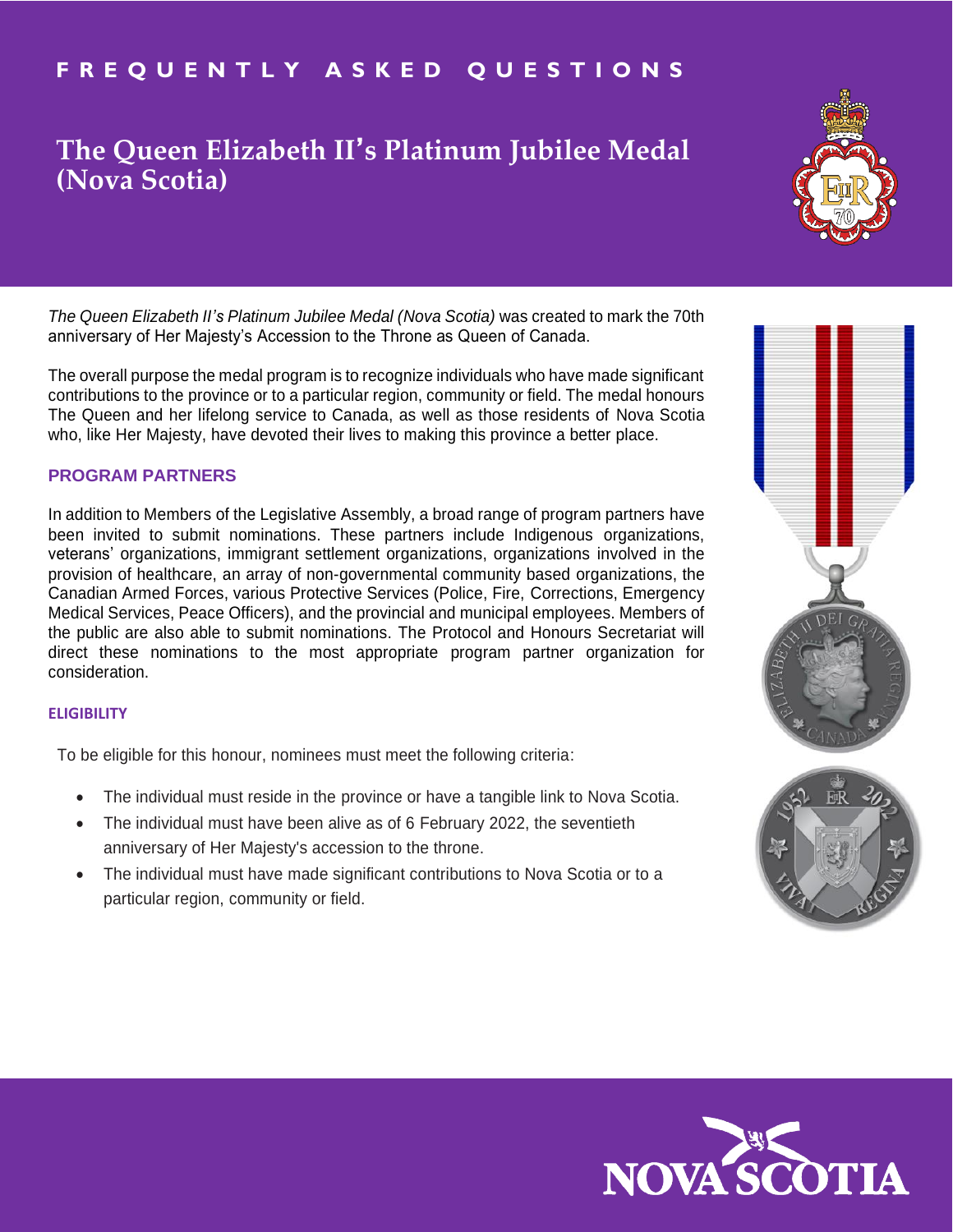## **F R E Q U E N T L Y A S K E D Q U E S T I O N S**

# **The Queen Elizabeth II**' **s Platinum Jubilee Medal (Nova Scotia)**

*The Queen Elizabeth II's Platinum Jubilee Medal (Nova Scotia)* was created to mark the 70th anniversary of Her Majesty's Accession to the Throne as Queen of Canada.

The overall purpose the medal program is to recognize individuals who have made significant contributions to the province or to a particular region, community or field. The medal honours The Queen and her lifelong service to Canada, as well as those residents of Nova Scotia who, like Her Majesty, have devoted their lives to making this province a better place.

## **PROGRAM PARTNERS**

In addition to Members of the Legislative Assembly, a broad range of program partners have been invited to submit nominations. These partners include Indigenous organizations, veterans' organizations, immigrant settlement organizations, organizations involved in the provision of healthcare, an array of non-governmental community based organizations, the Canadian Armed Forces, various Protective Services (Police, Fire, Corrections, Emergency Medical Services, Peace Officers), and the provincial and municipal employees. Members of the public are also able to submit nominations. The Protocol and Honours Secretariat will direct these nominations to the most appropriate program partner organization for consideration.

#### **ELIGIBILITY**

To be eligible for this honour, nominees must meet the following criteria:

- The individual must reside in the province or have a tangible link to Nova Scotia.
- The individual must have been alive as of 6 February 2022, the seventieth anniversary of Her Majesty's accession to the throne.
- The individual must have made significant contributions to Nova Scotia or to a particular region, community or field.





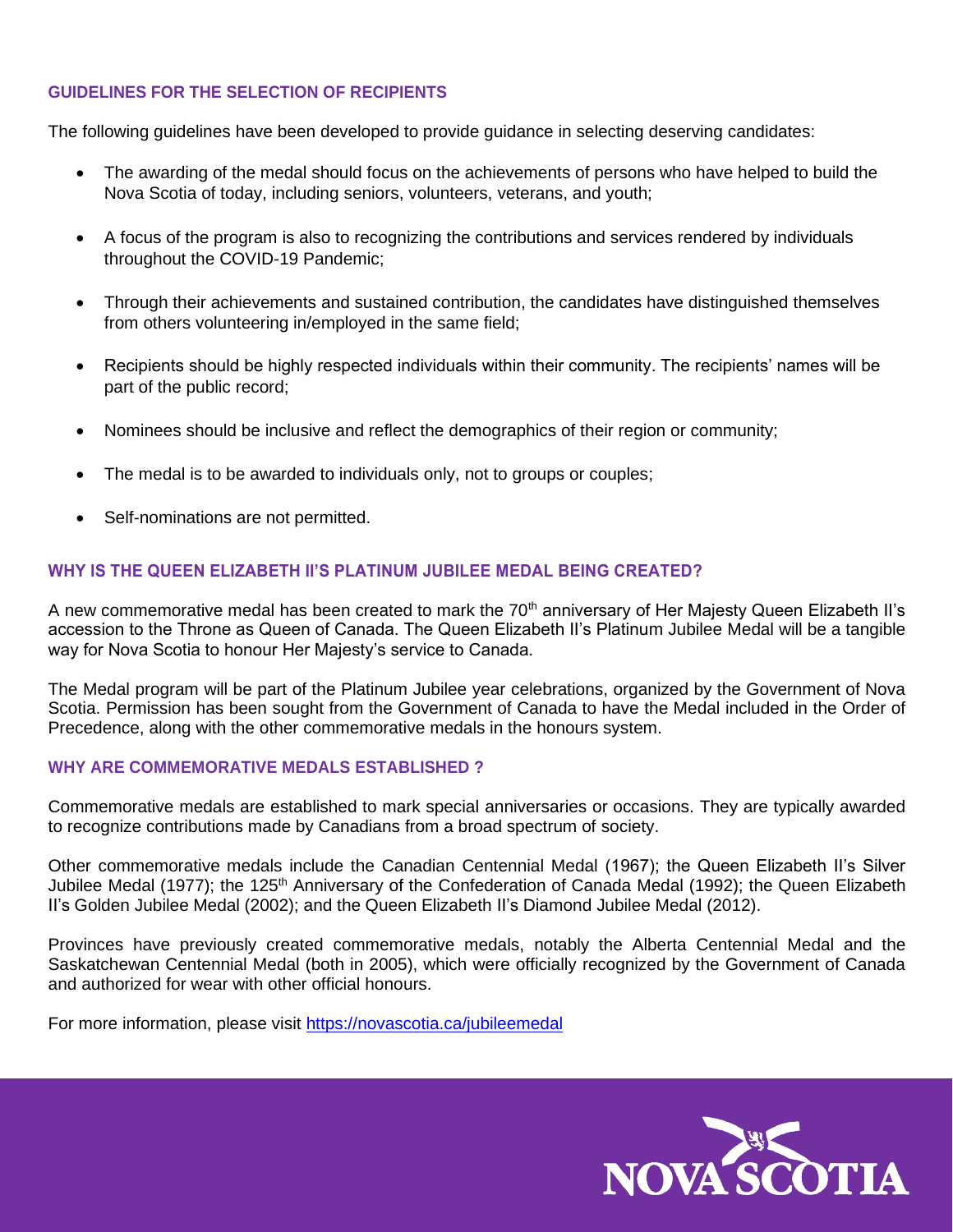## **GUIDELINES FOR THE SELECTION OF RECIPIENTS**

The following guidelines have been developed to provide guidance in selecting deserving candidates:

- The awarding of the medal should focus on the achievements of persons who have helped to build the Nova Scotia of today, including seniors, volunteers, veterans, and youth;
- A focus of the program is also to recognizing the contributions and services rendered by individuals throughout the COVID-19 Pandemic;
- Through their achievements and sustained contribution, the candidates have distinguished themselves from others volunteering in/employed in the same field;
- Recipients should be highly respected individuals within their community. The recipients' names will be part of the public record;
- Nominees should be inclusive and reflect the demographics of their region or community;
- The medal is to be awarded to individuals only, not to groups or couples;
- Self-nominations are not permitted.

## **WHY IS THE QUEEN ELIZABETH II'S PLATINUM JUBILEE MEDAL BEING CREATED?**

A new commemorative medal has been created to mark the 70<sup>th</sup> anniversary of Her Majesty Queen Elizabeth II's accession to the Throne as Queen of Canada. The Queen Elizabeth II's Platinum Jubilee Medal will be a tangible way for Nova Scotia to honour Her Majesty's service to Canada.

The Medal program will be part of the Platinum Jubilee year celebrations, organized by the Government of Nova Scotia. Permission has been sought from the Government of Canada to have the Medal included in the Order of Precedence, along with the other commemorative medals in the honours system.

#### **WHY ARE COMMEMORATIVE MEDALS ESTABLISHED ?**

Commemorative medals are established to mark special anniversaries or occasions. They are typically awarded to recognize contributions made by Canadians from a broad spectrum of society.

Other commemorative medals include the Canadian Centennial Medal (1967); the Queen Elizabeth II's Silver Jubilee Medal (1977); the 125<sup>th</sup> Anniversary of the Confederation of Canada Medal (1992); the Queen Elizabeth II's Golden Jubilee Medal (2002); and the Queen Elizabeth II's Diamond Jubilee Medal (2012).

Provinces have previously created commemorative medals, notably the Alberta Centennial Medal and the Saskatchewan Centennial Medal (both in 2005), which were officially recognized by the Government of Canada and authorized for wear with other official honours.

For more information, please visit<https://novascotia.ca/jubileemedal>

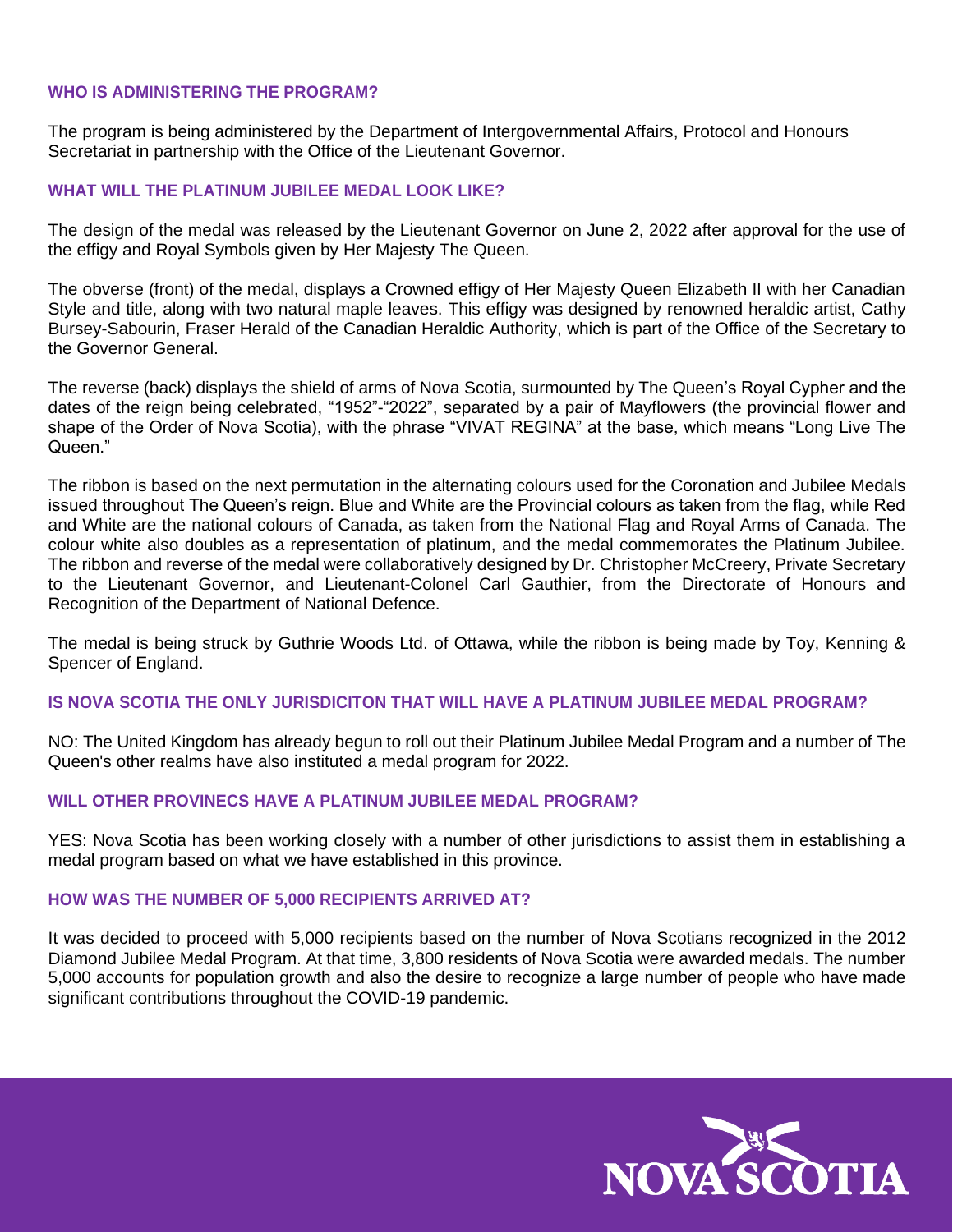## **WHO IS ADMINISTERING THE PROGRAM?**

The program is being administered by the Department of Intergovernmental Affairs, Protocol and Honours Secretariat in partnership with the Office of the Lieutenant Governor.

## **WHAT WILL THE PLATINUM JUBILEE MEDAL LOOK LIKE?**

The design of the medal was released by the Lieutenant Governor on June 2, 2022 after approval for the use of the effigy and Royal Symbols given by Her Majesty The Queen.

The obverse (front) of the medal, displays a Crowned effigy of Her Majesty Queen Elizabeth II with her Canadian Style and title, along with two natural maple leaves. This effigy was designed by renowned heraldic artist, Cathy Bursey-Sabourin, Fraser Herald of the Canadian Heraldic Authority, which is part of the Office of the Secretary to the Governor General.

The reverse (back) displays the shield of arms of Nova Scotia, surmounted by The Queen's Royal Cypher and the dates of the reign being celebrated, "1952"-"2022", separated by a pair of Mayflowers (the provincial flower and shape of the Order of Nova Scotia), with the phrase "VIVAT REGINA" at the base, which means "Long Live The Queen."

The ribbon is based on the next permutation in the alternating colours used for the Coronation and Jubilee Medals issued throughout The Queen's reign. Blue and White are the Provincial colours as taken from the flag, while Red and White are the national colours of Canada, as taken from the National Flag and Royal Arms of Canada. The colour white also doubles as a representation of platinum, and the medal commemorates the Platinum Jubilee. The ribbon and reverse of the medal were collaboratively designed by Dr. Christopher McCreery, Private Secretary to the Lieutenant Governor, and Lieutenant-Colonel Carl Gauthier, from the Directorate of Honours and Recognition of the Department of National Defence.

The medal is being struck by Guthrie Woods Ltd. of Ottawa, while the ribbon is being made by Toy, Kenning & Spencer of England.

## **IS NOVA SCOTIA THE ONLY JURISDICITON THAT WILL HAVE A PLATINUM JUBILEE MEDAL PROGRAM?**

NO: The United Kingdom has already begun to roll out their Platinum Jubilee Medal Program and a number of The Queen's other realms have also instituted a medal program for 2022.

## **WILL OTHER PROVINECS HAVE A PLATINUM JUBILEE MEDAL PROGRAM?**

YES: Nova Scotia has been working closely with a number of other jurisdictions to assist them in establishing a medal program based on what we have established in this province.

## **HOW WAS THE NUMBER OF 5,000 RECIPIENTS ARRIVED AT?**

It was decided to proceed with 5,000 recipients based on the number of Nova Scotians recognized in the 2012 Diamond Jubilee Medal Program. At that time, 3,800 residents of Nova Scotia were awarded medals. The number 5,000 accounts for population growth and also the desire to recognize a large number of people who have made significant contributions throughout the COVID-19 pandemic.

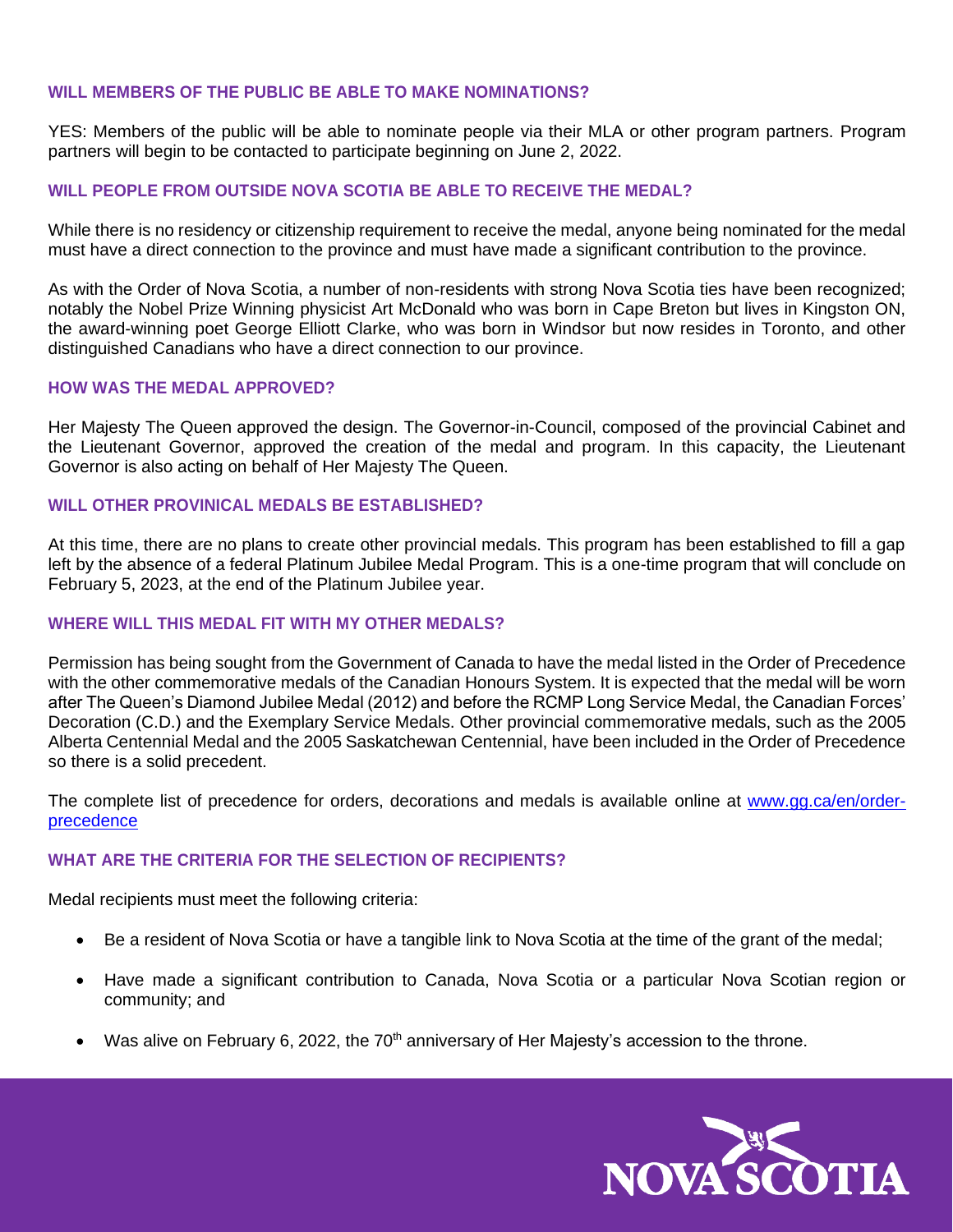#### **WILL MEMBERS OF THE PUBLIC BE ABLE TO MAKE NOMINATIONS?**

YES: Members of the public will be able to nominate people via their MLA or other program partners. Program partners will begin to be contacted to participate beginning on June 2, 2022.

## **WILL PEOPLE FROM OUTSIDE NOVA SCOTIA BE ABLE TO RECEIVE THE MEDAL?**

While there is no residency or citizenship requirement to receive the medal, anyone being nominated for the medal must have a direct connection to the province and must have made a significant contribution to the province.

As with the Order of Nova Scotia, a number of non-residents with strong Nova Scotia ties have been recognized; notably the Nobel Prize Winning physicist Art McDonald who was born in Cape Breton but lives in Kingston ON, the award-winning poet George Elliott Clarke, who was born in Windsor but now resides in Toronto, and other distinguished Canadians who have a direct connection to our province.

#### **HOW WAS THE MEDAL APPROVED?**

Her Majesty The Queen approved the design. The Governor-in-Council, composed of the provincial Cabinet and the Lieutenant Governor, approved the creation of the medal and program. In this capacity, the Lieutenant Governor is also acting on behalf of Her Majesty The Queen.

## **WILL OTHER PROVINICAL MEDALS BE ESTABLISHED?**

At this time, there are no plans to create other provincial medals. This program has been established to fill a gap left by the absence of a federal Platinum Jubilee Medal Program. This is a one-time program that will conclude on February 5, 2023, at the end of the Platinum Jubilee year.

## **WHERE WILL THIS MEDAL FIT WITH MY OTHER MEDALS?**

Permission has being sought from the Government of Canada to have the medal listed in the Order of Precedence with the other commemorative medals of the Canadian Honours System. It is expected that the medal will be worn after The Queen's Diamond Jubilee Medal (2012) and before the RCMP Long Service Medal, the Canadian Forces' Decoration (C.D.) and the Exemplary Service Medals. Other provincial commemorative medals, such as the 2005 Alberta Centennial Medal and the 2005 Saskatchewan Centennial, have been included in the Order of Precedence so there is a solid precedent.

The complete list of precedence for orders, decorations and medals is available online at [www.gg.ca/en/order](http://www.gg.ca/en/order-precedence)[precedence](http://www.gg.ca/en/order-precedence)

## **WHAT ARE THE CRITERIA FOR THE SELECTION OF RECIPIENTS?**

Medal recipients must meet the following criteria:

- Be a resident of Nova Scotia or have a tangible link to Nova Scotia at the time of the grant of the medal;
- Have made a significant contribution to Canada, Nova Scotia or a particular Nova Scotian region or community; and
- Was alive on February 6, 2022, the 70<sup>th</sup> anniversary of Her Majesty's accession to the throne.

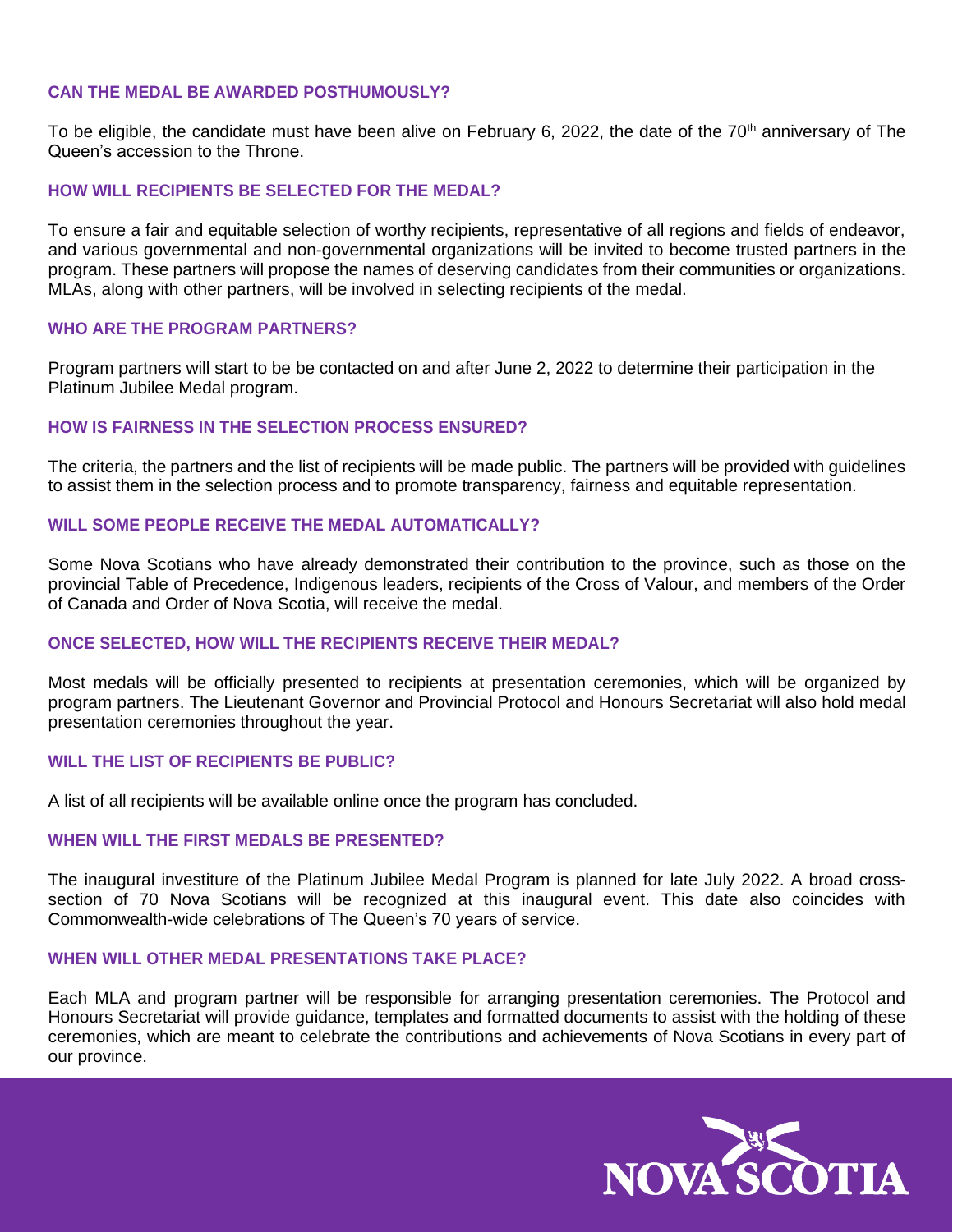## **CAN THE MEDAL BE AWARDED POSTHUMOUSLY?**

To be eligible, the candidate must have been alive on February 6, 2022, the date of the 70<sup>th</sup> anniversary of The Queen's accession to the Throne.

## **HOW WILL RECIPIENTS BE SELECTED FOR THE MEDAL?**

To ensure a fair and equitable selection of worthy recipients, representative of all regions and fields of endeavor, and various governmental and non-governmental organizations will be invited to become trusted partners in the program. These partners will propose the names of deserving candidates from their communities or organizations. MLAs, along with other partners, will be involved in selecting recipients of the medal.

## **WHO ARE THE PROGRAM PARTNERS?**

Program partners will start to be be contacted on and after June 2, 2022 to determine their participation in the Platinum Jubilee Medal program.

## **HOW IS FAIRNESS IN THE SELECTION PROCESS ENSURED?**

The criteria, the partners and the list of recipients will be made public. The partners will be provided with guidelines to assist them in the selection process and to promote transparency, fairness and equitable representation.

## **WILL SOME PEOPLE RECEIVE THE MEDAL AUTOMATICALLY?**

Some Nova Scotians who have already demonstrated their contribution to the province, such as those on the provincial Table of Precedence, Indigenous leaders, recipients of the Cross of Valour, and members of the Order of Canada and Order of Nova Scotia, will receive the medal.

## **ONCE SELECTED, HOW WILL THE RECIPIENTS RECEIVE THEIR MEDAL?**

Most medals will be officially presented to recipients at presentation ceremonies, which will be organized by program partners. The Lieutenant Governor and Provincial Protocol and Honours Secretariat will also hold medal presentation ceremonies throughout the year.

## **WILL THE LIST OF RECIPIENTS BE PUBLIC?**

A list of all recipients will be available online once the program has concluded.

## **WHEN WILL THE FIRST MEDALS BE PRESENTED?**

The inaugural investiture of the Platinum Jubilee Medal Program is planned for late July 2022. A broad crosssection of 70 Nova Scotians will be recognized at this inaugural event. This date also coincides with Commonwealth-wide celebrations of The Queen's 70 years of service.

## **WHEN WILL OTHER MEDAL PRESENTATIONS TAKE PLACE?**

Each MLA and program partner will be responsible for arranging presentation ceremonies. The Protocol and Honours Secretariat will provide guidance, templates and formatted documents to assist with the holding of these ceremonies, which are meant to celebrate the contributions and achievements of Nova Scotians in every part of our province.